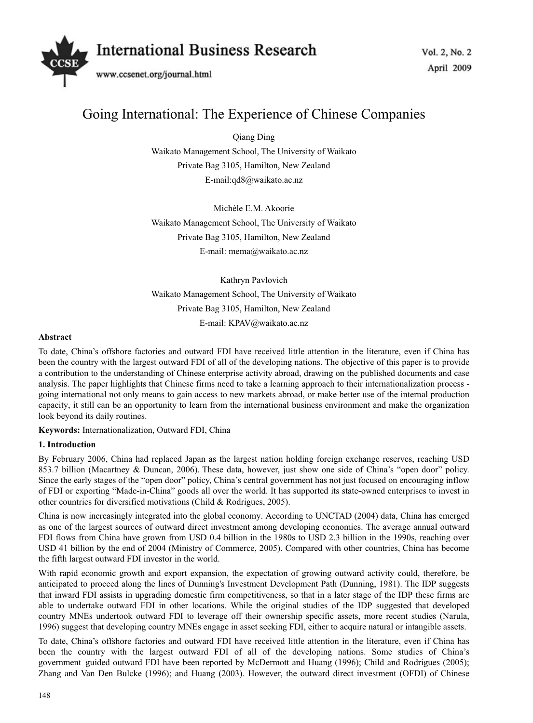

# Going International: The Experience of Chinese Companies

Qiang Ding Waikato Management School, The University of Waikato Private Bag 3105, Hamilton, New Zealand E-mail:qd8@waikato.ac.nz

Michèle E.M. Akoorie Waikato Management School, The University of Waikato Private Bag 3105, Hamilton, New Zealand E-mail: mema@waikato.ac.nz

Kathryn Pavlovich Waikato Management School, The University of Waikato Private Bag 3105, Hamilton, New Zealand E-mail: KPAV@waikato.ac.nz

## **Abstract**

To date, China's offshore factories and outward FDI have received little attention in the literature, even if China has been the country with the largest outward FDI of all of the developing nations. The objective of this paper is to provide a contribution to the understanding of Chinese enterprise activity abroad, drawing on the published documents and case analysis. The paper highlights that Chinese firms need to take a learning approach to their internationalization process going international not only means to gain access to new markets abroad, or make better use of the internal production capacity, it still can be an opportunity to learn from the international business environment and make the organization look beyond its daily routines.

**Keywords:** Internationalization, Outward FDI, China

# **1. Introduction**

By February 2006, China had replaced Japan as the largest nation holding foreign exchange reserves, reaching USD 853.7 billion (Macartney & Duncan, 2006). These data, however, just show one side of China's "open door" policy. Since the early stages of the "open door" policy, China's central government has not just focused on encouraging inflow of FDI or exporting "Made-in-China" goods all over the world. It has supported its state-owned enterprises to invest in other countries for diversified motivations (Child & Rodrigues, 2005).

China is now increasingly integrated into the global economy. According to UNCTAD (2004) data, China has emerged as one of the largest sources of outward direct investment among developing economies. The average annual outward FDI flows from China have grown from USD 0.4 billion in the 1980s to USD 2.3 billion in the 1990s, reaching over USD 41 billion by the end of 2004 (Ministry of Commerce, 2005). Compared with other countries, China has become the fifth largest outward FDI investor in the world.

With rapid economic growth and export expansion, the expectation of growing outward activity could, therefore, be anticipated to proceed along the lines of Dunning's Investment Development Path (Dunning, 1981). The IDP suggests that inward FDI assists in upgrading domestic firm competitiveness, so that in a later stage of the IDP these firms are able to undertake outward FDI in other locations. While the original studies of the IDP suggested that developed country MNEs undertook outward FDI to leverage off their ownership specific assets, more recent studies (Narula, 1996) suggest that developing country MNEs engage in asset seeking FDI, either to acquire natural or intangible assets.

To date, China's offshore factories and outward FDI have received little attention in the literature, even if China has been the country with the largest outward FDI of all of the developing nations. Some studies of China's government–guided outward FDI have been reported by McDermott and Huang (1996); Child and Rodrigues (2005); Zhang and Van Den Bulcke (1996); and Huang (2003). However, the outward direct investment (OFDI) of Chinese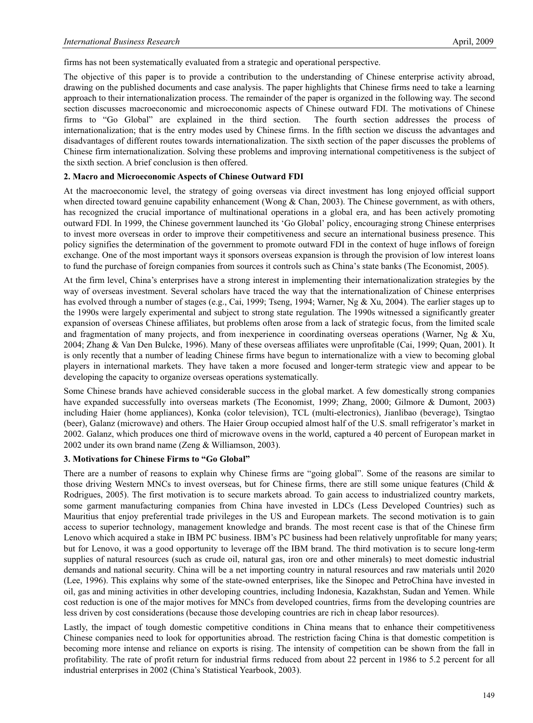firms has not been systematically evaluated from a strategic and operational perspective.

The objective of this paper is to provide a contribution to the understanding of Chinese enterprise activity abroad, drawing on the published documents and case analysis. The paper highlights that Chinese firms need to take a learning approach to their internationalization process. The remainder of the paper is organized in the following way. The second section discusses macroeconomic and microeconomic aspects of Chinese outward FDI. The motivations of Chinese firms to "Go Global" are explained in the third section. The fourth section addresses the process of internationalization; that is the entry modes used by Chinese firms. In the fifth section we discuss the advantages and disadvantages of different routes towards internationalization. The sixth section of the paper discusses the problems of Chinese firm internationalization. Solving these problems and improving international competitiveness is the subject of the sixth section. A brief conclusion is then offered.

## **2. Macro and Microeconomic Aspects of Chinese Outward FDI**

At the macroeconomic level, the strategy of going overseas via direct investment has long enjoyed official support when directed toward genuine capability enhancement (Wong & Chan, 2003). The Chinese government, as with others, has recognized the crucial importance of multinational operations in a global era, and has been actively promoting outward FDI. In 1999, the Chinese government launched its 'Go Global' policy, encouraging strong Chinese enterprises to invest more overseas in order to improve their competitiveness and secure an international business presence. This policy signifies the determination of the government to promote outward FDI in the context of huge inflows of foreign exchange. One of the most important ways it sponsors overseas expansion is through the provision of low interest loans to fund the purchase of foreign companies from sources it controls such as China's state banks (The Economist, 2005).

At the firm level, China's enterprises have a strong interest in implementing their internationalization strategies by the way of overseas investment. Several scholars have traced the way that the internationalization of Chinese enterprises has evolved through a number of stages (e.g., Cai, 1999; Tseng, 1994; Warner, Ng & Xu, 2004). The earlier stages up to the 1990s were largely experimental and subject to strong state regulation. The 1990s witnessed a significantly greater expansion of overseas Chinese affiliates, but problems often arose from a lack of strategic focus, from the limited scale and fragmentation of many projects, and from inexperience in coordinating overseas operations (Warner, Ng  $\&$  Xu, 2004; Zhang & Van Den Bulcke, 1996). Many of these overseas affiliates were unprofitable (Cai, 1999; Quan, 2001). It is only recently that a number of leading Chinese firms have begun to internationalize with a view to becoming global players in international markets. They have taken a more focused and longer-term strategic view and appear to be developing the capacity to organize overseas operations systematically.

Some Chinese brands have achieved considerable success in the global market. A few domestically strong companies have expanded successfully into overseas markets (The Economist, 1999; Zhang, 2000; Gilmore & Dumont, 2003) including Haier (home appliances), Konka (color television), TCL (multi-electronics), Jianlibao (beverage), Tsingtao (beer), Galanz (microwave) and others. The Haier Group occupied almost half of the U.S. small refrigerator's market in 2002. Galanz, which produces one third of microwave ovens in the world, captured a 40 percent of European market in 2002 under its own brand name (Zeng & Williamson, 2003).

#### **3. Motivations for Chinese Firms to "Go Global"**

There are a number of reasons to explain why Chinese firms are "going global". Some of the reasons are similar to those driving Western MNCs to invest overseas, but for Chinese firms, there are still some unique features (Child & Rodrigues, 2005). The first motivation is to secure markets abroad. To gain access to industrialized country markets, some garment manufacturing companies from China have invested in LDCs (Less Developed Countries) such as Mauritius that enjoy preferential trade privileges in the US and European markets. The second motivation is to gain access to superior technology, management knowledge and brands. The most recent case is that of the Chinese firm Lenovo which acquired a stake in IBM PC business. IBM's PC business had been relatively unprofitable for many years; but for Lenovo, it was a good opportunity to leverage off the IBM brand. The third motivation is to secure long-term supplies of natural resources (such as crude oil, natural gas, iron ore and other minerals) to meet domestic industrial demands and national security. China will be a net importing country in natural resources and raw materials until 2020 (Lee, 1996). This explains why some of the state-owned enterprises, like the Sinopec and PetroChina have invested in oil, gas and mining activities in other developing countries, including Indonesia, Kazakhstan, Sudan and Yemen. While cost reduction is one of the major motives for MNCs from developed countries, firms from the developing countries are less driven by cost considerations (because those developing countries are rich in cheap labor resources).

Lastly, the impact of tough domestic competitive conditions in China means that to enhance their competitiveness Chinese companies need to look for opportunities abroad. The restriction facing China is that domestic competition is becoming more intense and reliance on exports is rising. The intensity of competition can be shown from the fall in profitability. The rate of profit return for industrial firms reduced from about 22 percent in 1986 to 5.2 percent for all industrial enterprises in 2002 (China's Statistical Yearbook, 2003).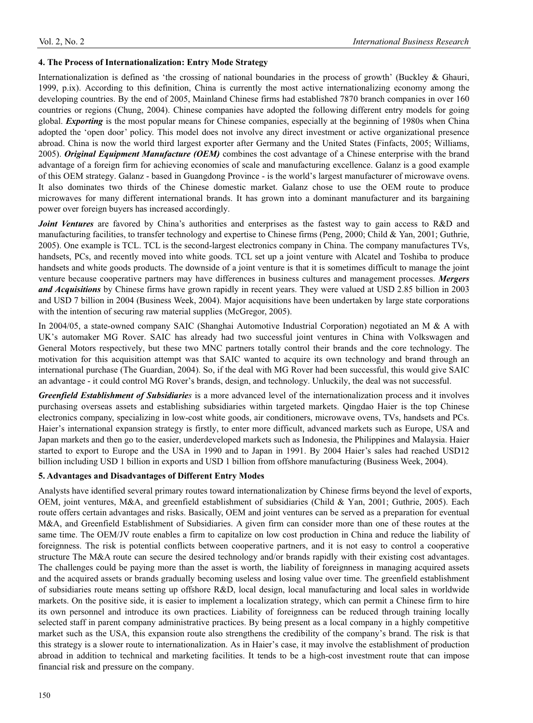# **4. The Process of Internationalization: Entry Mode Strategy**

Internationalization is defined as 'the crossing of national boundaries in the process of growth' (Buckley & Ghauri, 1999, p.ix). According to this definition, China is currently the most active internationalizing economy among the developing countries. By the end of 2005, Mainland Chinese firms had established 7870 branch companies in over 160 countries or regions (Chung, 2004). Chinese companies have adopted the following different entry models for going global. *Exporting* is the most popular means for Chinese companies, especially at the beginning of 1980s when China adopted the 'open door' policy. This model does not involve any direct investment or active organizational presence abroad. China is now the world third largest exporter after Germany and the United States (Finfacts, 2005; Williams, 2005). *Original Equipment Manufacture (OEM)* combines the cost advantage of a Chinese enterprise with the brand advantage of a foreign firm for achieving economies of scale and manufacturing excellence. Galanz is a good example of this OEM strategy. Galanz - based in Guangdong Province - is the world's largest manufacturer of microwave ovens. It also dominates two thirds of the Chinese domestic market. Galanz chose to use the OEM route to produce microwaves for many different international brands. It has grown into a dominant manufacturer and its bargaining power over foreign buyers has increased accordingly.

*Joint Ventures* are favored by China's authorities and enterprises as the fastest way to gain access to R&D and manufacturing facilities, to transfer technology and expertise to Chinese firms (Peng, 2000; Child & Yan, 2001; Guthrie, 2005). One example is TCL. TCL is the second-largest electronics company in China. The company manufactures TVs, handsets, PCs, and recently moved into white goods. TCL set up a joint venture with Alcatel and Toshiba to produce handsets and white goods products. The downside of a joint venture is that it is sometimes difficult to manage the joint venture because cooperative partners may have differences in business cultures and management processes. *Mergers and Acquisitions* by Chinese firms have grown rapidly in recent years. They were valued at USD 2.85 billion in 2003 and USD 7 billion in 2004 (Business Week, 2004). Major acquisitions have been undertaken by large state corporations with the intention of securing raw material supplies (McGregor, 2005).

In 2004/05, a state-owned company SAIC (Shanghai Automotive Industrial Corporation) negotiated an M & A with UK's automaker MG Rover. SAIC has already had two successful joint ventures in China with Volkswagen and General Motors respectively, but these two MNC partners totally control their brands and the core technology. The motivation for this acquisition attempt was that SAIC wanted to acquire its own technology and brand through an international purchase (The Guardian, 2004). So, if the deal with MG Rover had been successful, this would give SAIC an advantage - it could control MG Rover's brands, design, and technology. Unluckily, the deal was not successful.

*Greenfield Establishment of Subsidiaries* is a more advanced level of the internationalization process and it involves purchasing overseas assets and establishing subsidiaries within targeted markets. Qingdao Haier is the top Chinese electronics company, specializing in low-cost white goods, air conditioners, microwave ovens, TVs, handsets and PCs. Haier's international expansion strategy is firstly, to enter more difficult, advanced markets such as Europe, USA and Japan markets and then go to the easier, underdeveloped markets such as Indonesia, the Philippines and Malaysia. Haier started to export to Europe and the USA in 1990 and to Japan in 1991. By 2004 Haier's sales had reached USD12 billion including USD 1 billion in exports and USD 1 billion from offshore manufacturing (Business Week, 2004).

# **5. Advantages and Disadvantages of Different Entry Modes**

Analysts have identified several primary routes toward internationalization by Chinese firms beyond the level of exports, OEM, joint ventures, M&A, and greenfield establishment of subsidiaries (Child & Yan, 2001; Guthrie, 2005). Each route offers certain advantages and risks. Basically, OEM and joint ventures can be served as a preparation for eventual M&A, and Greenfield Establishment of Subsidiaries. A given firm can consider more than one of these routes at the same time. The OEM/JV route enables a firm to capitalize on low cost production in China and reduce the liability of foreignness. The risk is potential conflicts between cooperative partners, and it is not easy to control a cooperative structure The M&A route can secure the desired technology and/or brands rapidly with their existing cost advantages. The challenges could be paying more than the asset is worth, the liability of foreignness in managing acquired assets and the acquired assets or brands gradually becoming useless and losing value over time. The greenfield establishment of subsidiaries route means setting up offshore R&D, local design, local manufacturing and local sales in worldwide markets. On the positive side, it is easier to implement a localization strategy, which can permit a Chinese firm to hire its own personnel and introduce its own practices. Liability of foreignness can be reduced through training locally selected staff in parent company administrative practices. By being present as a local company in a highly competitive market such as the USA, this expansion route also strengthens the credibility of the company's brand. The risk is that this strategy is a slower route to internationalization. As in Haier's case, it may involve the establishment of production abroad in addition to technical and marketing facilities. It tends to be a high-cost investment route that can impose financial risk and pressure on the company.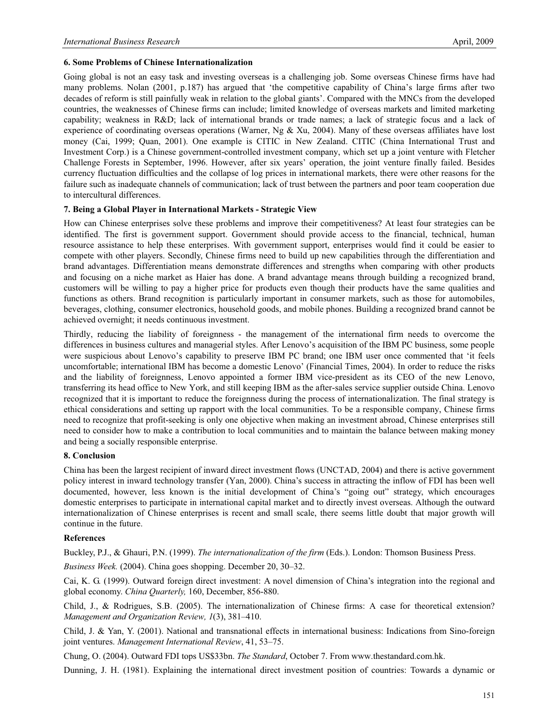## **6. Some Problems of Chinese Internationalization**

Going global is not an easy task and investing overseas is a challenging job. Some overseas Chinese firms have had many problems. Nolan (2001, p.187) has argued that 'the competitive capability of China's large firms after two decades of reform is still painfully weak in relation to the global giants'. Compared with the MNCs from the developed countries, the weaknesses of Chinese firms can include; limited knowledge of overseas markets and limited marketing capability; weakness in R&D; lack of international brands or trade names; a lack of strategic focus and a lack of experience of coordinating overseas operations (Warner, Ng & Xu, 2004). Many of these overseas affiliates have lost money (Cai, 1999; Quan, 2001). One example is CITIC in New Zealand. CITIC (China International Trust and Investment Corp.) is a Chinese government-controlled investment company, which set up a joint venture with Fletcher Challenge Forests in September, 1996. However, after six years' operation, the joint venture finally failed. Besides currency fluctuation difficulties and the collapse of log prices in international markets, there were other reasons for the failure such as inadequate channels of communication; lack of trust between the partners and poor team cooperation due to intercultural differences.

## **7. Being a Global Player in International Markets - Strategic View**

How can Chinese enterprises solve these problems and improve their competitiveness? At least four strategies can be identified. The first is government support. Government should provide access to the financial, technical, human resource assistance to help these enterprises. With government support, enterprises would find it could be easier to compete with other players. Secondly, Chinese firms need to build up new capabilities through the differentiation and brand advantages. Differentiation means demonstrate differences and strengths when comparing with other products and focusing on a niche market as Haier has done. A brand advantage means through building a recognized brand, customers will be willing to pay a higher price for products even though their products have the same qualities and functions as others. Brand recognition is particularly important in consumer markets, such as those for automobiles, beverages, clothing, consumer electronics, household goods, and mobile phones. Building a recognized brand cannot be achieved overnight; it needs continuous investment.

Thirdly, reducing the liability of foreignness - the management of the international firm needs to overcome the differences in business cultures and managerial styles. After Lenovo's acquisition of the IBM PC business, some people were suspicious about Lenovo's capability to preserve IBM PC brand; one IBM user once commented that 'it feels uncomfortable; international IBM has become a domestic Lenovo' (Financial Times, 2004). In order to reduce the risks and the liability of foreignness, Lenovo appointed a former IBM vice-president as its CEO of the new Lenovo, transferring its head office to New York, and still keeping IBM as the after-sales service supplier outside China. Lenovo recognized that it is important to reduce the foreignness during the process of internationalization. The final strategy is ethical considerations and setting up rapport with the local communities. To be a responsible company, Chinese firms need to recognize that profit-seeking is only one objective when making an investment abroad, Chinese enterprises still need to consider how to make a contribution to local communities and to maintain the balance between making money and being a socially responsible enterprise.

#### **8. Conclusion**

China has been the largest recipient of inward direct investment flows (UNCTAD, 2004) and there is active government policy interest in inward technology transfer (Yan, 2000). China's success in attracting the inflow of FDI has been well documented, however, less known is the initial development of China's "going out" strategy, which encourages domestic enterprises to participate in international capital market and to directly invest overseas. Although the outward internationalization of Chinese enterprises is recent and small scale, there seems little doubt that major growth will continue in the future.

#### **References**

Buckley, P.J., & Ghauri, P.N. (1999). *The internationalization of the firm* (Eds.). London: Thomson Business Press.

*Business Week.* (2004). China goes shopping. December 20, 30–32.

Cai, K. G. (1999). Outward foreign direct investment: A novel dimension of China's integration into the regional and global economy. *China Quarterly,* 160, December, 856-880.

Child, J., & Rodrigues, S.B. (2005). The internationalization of Chinese firms: A case for theoretical extension? *Management and Organization Review, 1*(3), 381–410.

Child, J. & Yan, Y. (2001). National and transnational effects in international business: Indications from Sino-foreign joint ventures. *Management International Review*, 41, 53–75.

Chung, O. (2004). Outward FDI tops US\$33bn. *The Standard*, October 7. From www.thestandard.com.hk.

Dunning, J. H. (1981). Explaining the international direct investment position of countries: Towards a dynamic or